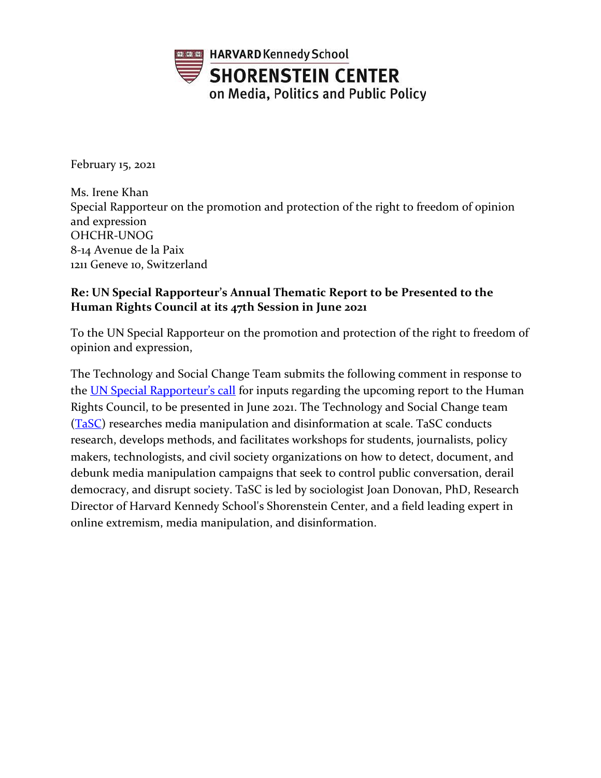

February 15, 2021

Ms. Irene Khan Special Rapporteur on the promotion and protection of the right to freedom of opinion and expression OHCHR-UNOG 8-14 Avenue de la Paix 1211 Geneve 10, Switzerland

## **Re: UN Special Rapporteur's Annual Thematic Report to be Presented to the Human Rights Council at its 47th Session in June 2021**

To the UN Special Rapporteur on the promotion and protection of the right to freedom of opinion and expression,

The Technology and Social Change Team submits the following comment in response to the [UN Special Rapporteur's call](https://www.ohchr.org/EN/Issues/FreedomOpinion/Pages/Report-on-disinformation.aspx) for inputs regarding the upcoming report to the Human Rights Council, to be presented in June 2021. The Technology and Social Change team [\(TaSC\)](https://mediamanipulation.org/about-us) researches media manipulation and disinformation at scale. TaSC conducts research, develops methods, and facilitates workshops for students, journalists, policy makers, technologists, and civil society organizations on how to detect, document, and debunk media manipulation campaigns that seek to control public conversation, derail democracy, and disrupt society. TaSC is led by sociologist Joan Donovan, PhD, Research Director of Harvard Kennedy School's Shorenstein Center, and a field leading expert in online extremism, media manipulation, and disinformation.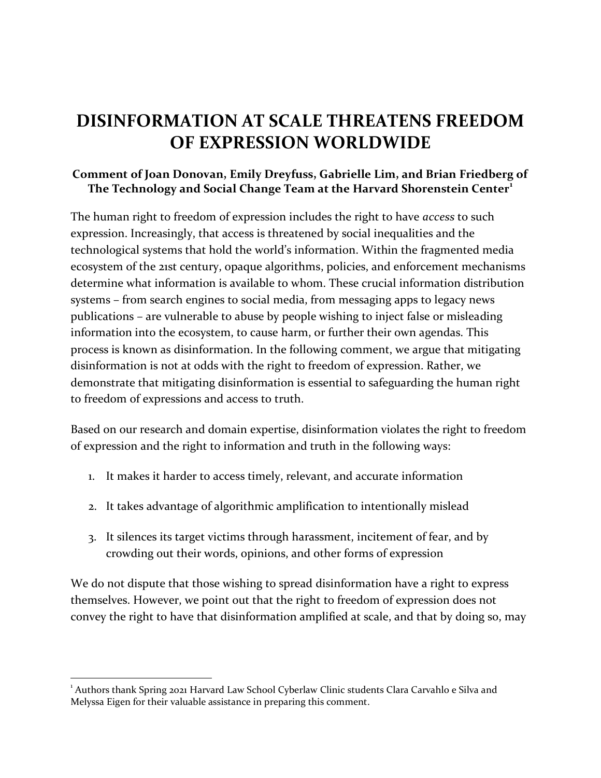# **DISINFORMATION AT SCALE THREATENS FREEDOM OF EXPRESSION WORLDWIDE**

#### **Comment of Joan Donovan, Emily Dreyfuss, Gabrielle Lim, and Brian Friedberg of The Technology and Social Change Team at the Harvard Shorenstein Center<sup>1</sup>**

The human right to freedom of expression includes the right to have *access* to such expression. Increasingly, that access is threatened by social inequalities and the technological systems that hold the world's information. Within the fragmented media ecosystem of the 21st century, opaque algorithms, policies, and enforcement mechanisms determine what information is available to whom. These crucial information distribution systems – from search engines to social media, from messaging apps to legacy news publications – are vulnerable to abuse by people wishing to inject false or misleading information into the ecosystem, to cause harm, or further their own agendas. This process is known as disinformation. In the following comment, we argue that mitigating disinformation is not at odds with the right to freedom of expression. Rather, we demonstrate that mitigating disinformation is essential to safeguarding the human right to freedom of expressions and access to truth.

Based on our research and domain expertise, disinformation violates the right to freedom of expression and the right to information and truth in the following ways:

- 1. It makes it harder to access timely, relevant, and accurate information
- 2. It takes advantage of algorithmic amplification to intentionally mislead
- 3. It silences its target victims through harassment, incitement of fear, and by crowding out their words, opinions, and other forms of expression

We do not dispute that those wishing to spread disinformation have a right to express themselves. However, we point out that the right to freedom of expression does not convey the right to have that disinformation amplified at scale, and that by doing so, may

<sup>&</sup>lt;sup>1</sup> Authors thank Spring 2021 Harvard Law School Cyberlaw Clinic students Clara Carvahlo e Silva and Melyssa Eigen for their valuable assistance in preparing this comment.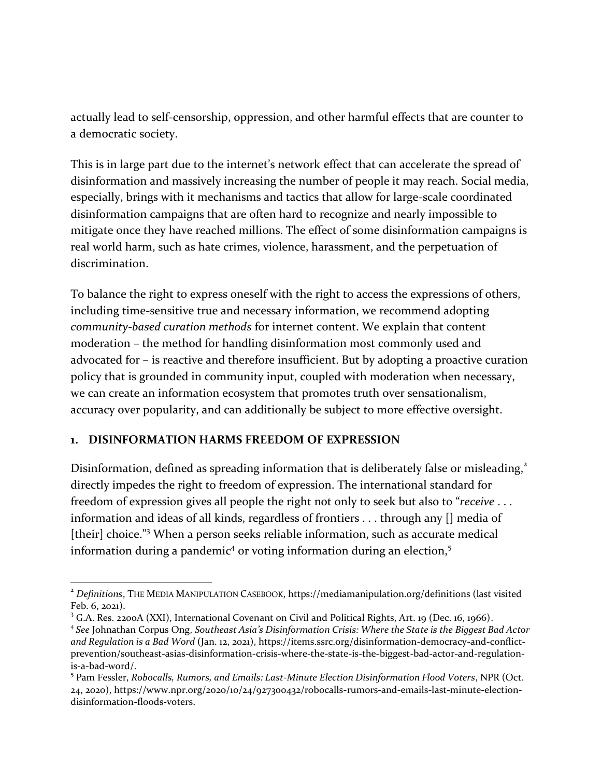actually lead to self-censorship, oppression, and other harmful effects that are counter to a democratic society.

This is in large part due to the internet's network effect that can accelerate the spread of disinformation and massively increasing the number of people it may reach. Social media, especially, brings with it mechanisms and tactics that allow for large-scale coordinated disinformation campaigns that are often hard to recognize and nearly impossible to mitigate once they have reached millions. The effect of some disinformation campaigns is real world harm, such as hate crimes, violence, harassment, and the perpetuation of discrimination.

To balance the right to express oneself with the right to access the expressions of others, including time-sensitive true and necessary information, we recommend adopting *community-based curation methods* for internet content. We explain that content moderation – the method for handling disinformation most commonly used and advocated for – is reactive and therefore insufficient. But by adopting a proactive curation policy that is grounded in community input, coupled with moderation when necessary, we can create an information ecosystem that promotes truth over sensationalism, accuracy over popularity, and can additionally be subject to more effective oversight.

#### **1. DISINFORMATION HARMS FREEDOM OF EXPRESSION**

<span id="page-2-1"></span>Disinformation, defined as spreading information that is deliberately false or misleading,<sup>2</sup> directly impedes the right to freedom of expression. The international standard for freedom of expression gives all people the right not only to seek but also to "*receive* . . . information and ideas of all kinds, regardless of frontiers . . . through any [] media of [their] choice."<sup>3</sup> When a person seeks reliable information, such as accurate medical information during a pandemic<sup>4</sup> or voting information during an election,<sup>5</sup>

<span id="page-2-2"></span><span id="page-2-0"></span><sup>2</sup> *Definitions*, THE MEDIA MANIPULATION CASEBOOK, https://mediamanipulation.org/definitions (last visited Feb. 6, 2021).

<sup>3</sup> G.A. Res. 2200A (XXI), International Covenant on Civil and Political Rights, Art. 19 (Dec. 16, 1966).

<sup>4</sup> *See* Johnathan Corpus Ong, *Southeast Asia's Disinformation Crisis: Where the State is the Biggest Bad Actor and Regulation is a Bad Word* (Jan. 12, 2021), https://items.ssrc.org/disinformation-democracy-and-conflictprevention/southeast-asias-disinformation-crisis-where-the-state-is-the-biggest-bad-actor-and-regulationis-a-bad-word/.

<sup>5</sup> Pam Fessler, *Robocalls, Rumors, and Emails: Last-Minute Election Disinformation Flood Voters*, NPR (Oct. 24, 2020), https://www.npr.org/2020/10/24/927300432/robocalls-rumors-and-emails-last-minute-electiondisinformation-floods-voters.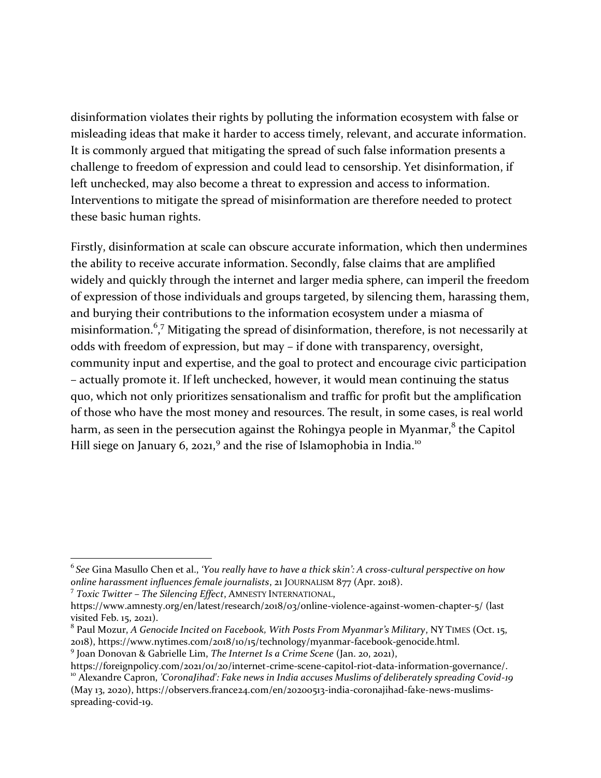disinformation violates their rights by polluting the information ecosystem with false or misleading ideas that make it harder to access timely, relevant, and accurate information. It is commonly argued that mitigating the spread of such false information presents a challenge to freedom of expression and could lead to censorship. Yet disinformation, if left unchecked, may also become a threat to expression and access to information. Interventions to mitigate the spread of misinformation are therefore needed to protect these basic human rights.

<span id="page-3-0"></span>Firstly, disinformation at scale can obscure accurate information, which then undermines the ability to receive accurate information. Secondly, false claims that are amplified widely and quickly through the internet and larger media sphere, can imperil the freedom of expression of those individuals and groups targeted, by silencing them, harassing them, and burying their contributions to the information ecosystem under a miasma of misinformation.<sup>6</sup>,<sup>7</sup> Mitigating the spread of disinformation, therefore, is not necessarily at odds with freedom of expression, but may – if done with transparency, oversight, community input and expertise, and the goal to protect and encourage civic participation – actually promote it. If left unchecked, however, it would mean continuing the status quo, which not only prioritizes sensationalism and traffic for profit but the amplification of those who have the most money and resources. The result, in some cases, is real world harm, as seen in the persecution against the Rohingya people in Myanmar, $^8$  the Capitol Hill siege on January 6, 2021,<sup>9</sup> and the rise of Islamophobia in India.<sup>10</sup>

7 *Toxic Twitter – The Silencing Effect*, AMNESTY INTERNATIONAL,

<sup>6</sup> *See* Gina Masullo Chen et al., *'You really have to have a thick skin': A cross-cultural perspective on how online harassment influences female journalists*, 21 JOURNALISM 877 (Apr. 2018).

https://www.amnesty.org/en/latest/research/2018/03/online-violence-against-women-chapter-5/ (last visited Feb. 15, 2021).

<sup>8</sup> Paul Mozur, *A Genocide Incited on Facebook, With Posts From Myanmar's Military*, NY TIMES (Oct. 15, 2018), https://www.nytimes.com/2018/10/15/technology/myanmar-facebook-genocide.html.

<sup>9</sup> Joan Donovan & Gabrielle Lim, *The Internet Is a Crime Scene* (Jan. 20, 2021),

https://foreignpolicy.com/2021/01/20/internet-crime-scene-capitol-riot-data-information-governance/. <sup>10</sup> Alexandre Capron, *'CoronaJihad': Fake news in India accuses Muslims of deliberately spreading Covid-19*

<sup>(</sup>May 13, 2020), https://observers.france24.com/en/20200513-india-coronajihad-fake-news-muslimsspreading-covid-19.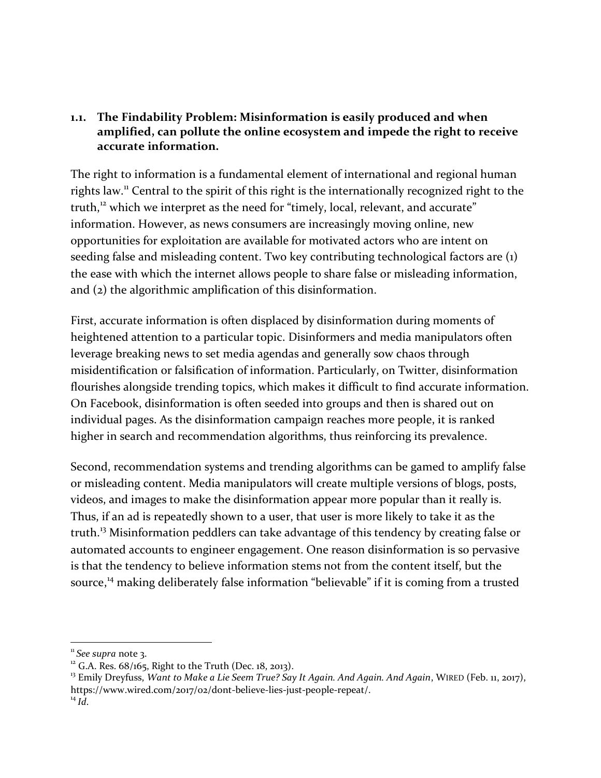## **1.1. The Findability Problem: Misinformation is easily produced and when amplified, can pollute the online ecosystem and impede the right to receive accurate information.**

The right to information is a fundamental element of international and regional human rights law.<sup>11</sup> Central to the spirit of this right is the internationally recognized right to the truth,<sup>12</sup> which we interpret as the need for "timely, local, relevant, and accurate" information. However, as news consumers are increasingly moving online, new opportunities for exploitation are available for motivated actors who are intent on seeding false and misleading content. Two key contributing technological factors are (1) the ease with which the internet allows people to share false or misleading information, and (2) the algorithmic amplification of this disinformation.

First, accurate information is often displaced by disinformation during moments of heightened attention to a particular topic. Disinformers and media manipulators often leverage breaking news to set media agendas and generally sow chaos through misidentification or falsification of information. Particularly, on Twitter, disinformation flourishes alongside trending topics, which makes it difficult to find accurate information. On Facebook, disinformation is often seeded into groups and then is shared out on individual pages. As the disinformation campaign reaches more people, it is ranked higher in search and recommendation algorithms, thus reinforcing its prevalence.

Second, recommendation systems and trending algorithms can be gamed to amplify false or misleading content. Media manipulators will create multiple versions of blogs, posts, videos, and images to make the disinformation appear more popular than it really is. Thus, if an ad is repeatedly shown to a user, that user is more likely to take it as the truth.<sup>13</sup> Misinformation peddlers can take advantage of this tendency by creating false or automated accounts to engineer engagement. One reason disinformation is so pervasive is that the tendency to believe information stems not from the content itself, but the source,<sup>14</sup> making deliberately false information "believable" if it is coming from a trusted

<sup>&</sup>lt;sup>11</sup> See supra not[e 3.](#page-2-0)

 $12$  G.A. Res. 68/165, Right to the Truth (Dec. 18, 2013).

<sup>13</sup> Emily Dreyfuss, *Want to Make a Lie Seem True? Say It Again. And Again. And Again*, WIRED (Feb. 11, 2017), https://www.wired.com/2017/02/dont-believe-lies-just-people-repeat/.  $^{14}$  *Id.*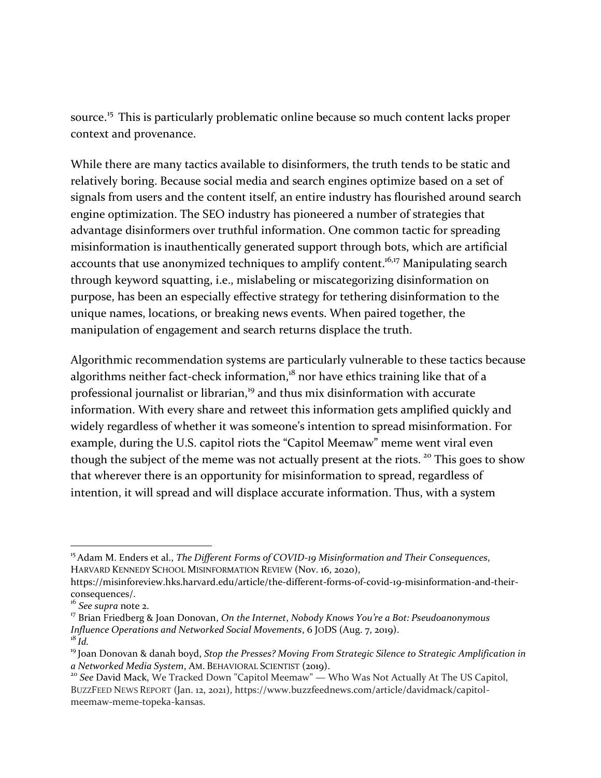source.<sup>15</sup> This is particularly problematic online because so much content lacks proper context and provenance.

While there are many tactics available to disinformers, the truth tends to be static and relatively boring. Because social media and search engines optimize based on a set of signals from users and the content itself, an entire industry has flourished around search engine optimization. The SEO industry has pioneered a number of strategies that advantage disinformers over truthful information. One common tactic for spreading misinformation is inauthentically generated support through bots, which are artificial accounts that use anonymized techniques to amplify content.<sup>16,17</sup> Manipulating search through keyword squatting, i.e., mislabeling or miscategorizing disinformation on purpose, has been an especially effective strategy for tethering disinformation to the unique names, locations, or breaking news events. When paired together, the manipulation of engagement and search returns displace the truth.

Algorithmic recommendation systems are particularly vulnerable to these tactics because algorithms neither fact-check information, $18$  nor have ethics training like that of a professional journalist or librarian,<sup>19</sup> and thus mix disinformation with accurate information. With every share and retweet this information gets amplified quickly and widely regardless of whether it was someone's intention to spread misinformation. For example, during the U.S. capitol riots the "Capitol Meemaw" meme went viral even though the subject of the meme was not actually present at the riots.<sup>20</sup> This goes to show that wherever there is an opportunity for misinformation to spread, regardless of intention, it will spread and will displace accurate information. Thus, with a system

<sup>&</sup>lt;sup>15</sup> Adam M. Enders et al., *The Different Forms of COVID-19 Misinformation and Their Consequences*, HARVARD KENNEDY SCHOOL MISINFORMATION REVIEW (Nov. 16, 2020),

https://misinforeview.hks.harvard.edu/article/the-different-forms-of-covid-19-misinformation-and-theirconsequences/.

<sup>16</sup> *See supra* note [2.](#page-2-1)

<sup>17</sup> Brian Friedberg & Joan Donovan, *On the Internet*, *Nobody Knows You're a Bot: Pseudoanonymous Influence Operations and Networked Social Movements*, 6 JODS (Aug. 7, 2019).  $^{18}$ *Id.* 

<sup>19</sup> Joan Donovan & danah boyd, *Stop the Presses? Moving From Strategic Silence to Strategic Amplification in a Networked Media System*, AM. BEHAVIORAL SCIENTIST (2019).

<sup>20</sup> *See* David Mack, We Tracked Down "Capitol Meemaw" — Who Was Not Actually At The US Capitol, BUZZFEED NEWS REPORT (Jan. 12, 2021), https://www.buzzfeednews.com/article/davidmack/capitolmeemaw-meme-topeka-kansas.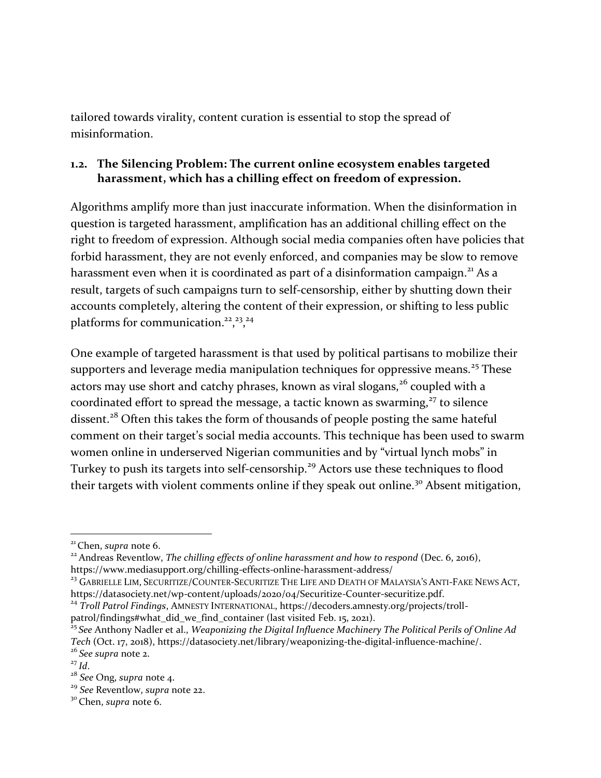tailored towards virality, content curation is essential to stop the spread of misinformation.

### **1.2. The Silencing Problem: The current online ecosystem enables targeted harassment, which has a chilling effect on freedom of expression.**

Algorithms amplify more than just inaccurate information. When the disinformation in question is targeted harassment, amplification has an additional chilling effect on the right to freedom of expression. Although social media companies often have policies that forbid harassment, they are not evenly enforced, and companies may be slow to remove harassment even when it is coordinated as part of a disinformation campaign.<sup>21</sup> As a result, targets of such campaigns turn to self-censorship, either by shutting down their accounts completely, altering the content of their expression, or shifting to less public platforms for communication.<sup>22</sup>,<sup>23</sup>,<sup>24</sup>

<span id="page-6-0"></span>One example of targeted harassment is that used by political partisans to mobilize their supporters and leverage media manipulation techniques for oppressive means.<sup>25</sup> These actors may use short and catchy phrases, known as viral slogans, $26$  coupled with a coordinated effort to spread the message, a tactic known as swarming, $27$  to silence dissent.<sup>28</sup> Often this takes the form of thousands of people posting the same hateful comment on their target's social media accounts. This technique has been used to swarm women online in underserved Nigerian communities and by "virtual lynch mobs" in Turkey to push its targets into self-censorship.<sup>29</sup> Actors use these techniques to flood their targets with violent comments online if they speak out online.<sup>30</sup> Absent mitigation,

<sup>21</sup> Chen, *supra* not[e 6.](#page-3-0)

<sup>22</sup> Andreas Reventlow, *The chilling effects of online harassment and how to respond* (Dec. 6, 2016), https://www.mediasupport.org/chilling-effects-online-harassment-address/

<sup>&</sup>lt;sup>23</sup> GABRIELLE LIM, SECURITIZE/COUNTER-SECURITIZE THE LIFE AND DEATH OF MALAYSIA'S ANTI-FAKE NEWS ACT, https://datasociety.net/wp-content/uploads/2020/04/Securitize-Counter-securitize.pdf.

<sup>&</sup>lt;sup>24</sup> Troll Patrol Findings, AMNESTY INTERNATIONAL, https://decoders.amnesty.org/projects/trollpatrol/findings#what\_did\_we\_find\_container (last visited Feb. 15, 2021).

<sup>25</sup> *See* Anthony Nadler et al., *Weaponizing the Digital Influence Machinery The Political Perils of Online Ad Tech* (Oct. 17, 2018), https://datasociety.net/library/weaponizing-the-digital-influence-machine/.

<sup>26</sup> *See supra* note [2.](#page-2-1)

 $^{27}$  *Id.* 

<sup>28</sup> *See* Ong, *supra* note [4.](#page-2-2)

<sup>29</sup> *See* Reventlow, *supra* note [22.](#page-6-0)

<sup>30</sup> Chen, *supra* not[e 6.](#page-3-0)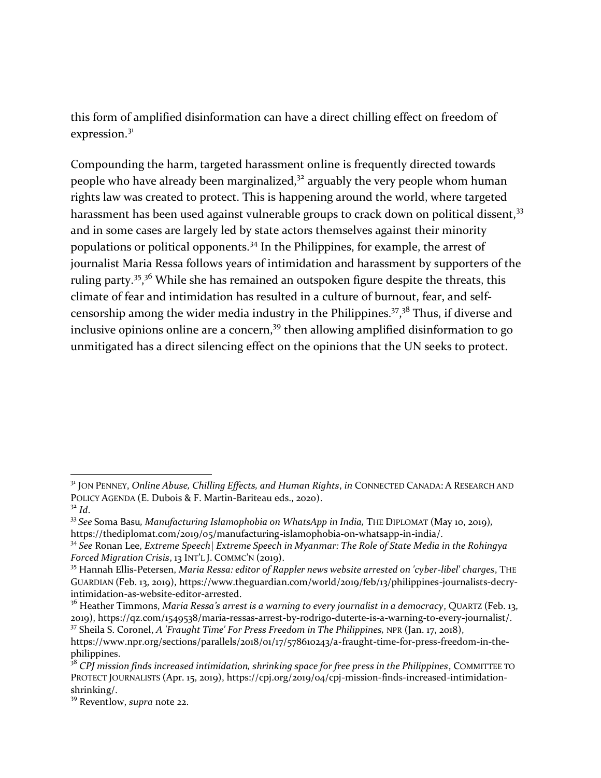this form of amplified disinformation can have a direct chilling effect on freedom of expression.<sup>31</sup>

Compounding the harm, targeted harassment online is frequently directed towards people who have already been marginalized,<sup>32</sup> arguably the very people whom human rights law was created to protect. This is happening around the world, where targeted harassment has been used against vulnerable groups to crack down on political dissent,<sup>33</sup> and in some cases are largely led by state actors themselves against their minority populations or political opponents.<sup>34</sup> In the Philippines, for example, the arrest of journalist Maria Ressa follows years of intimidation and harassment by supporters of the ruling party.<sup>35</sup>,<sup>36</sup> While she has remained an outspoken figure despite the threats, this climate of fear and intimidation has resulted in a culture of burnout, fear, and selfcensorship among the wider media industry in the Philippines.<sup>37</sup>,<sup>38</sup> Thus, if diverse and inclusive opinions online are a concern,<sup>39</sup> then allowing amplified disinformation to go unmitigated has a direct silencing effect on the opinions that the UN seeks to protect.

<sup>31</sup> JON PENNEY, *Online Abuse, Chilling Effects, and Human Rights*, *in* CONNECTED CANADA: A RESEARCH AND POLICY AGENDA (E. Dubois & F. Martin-Bariteau eds., 2020).  $3<sup>2</sup>$  *Id.* 

<sup>&</sup>lt;sup>33</sup> See Soma Basu, Manufacturing Islamophobia on WhatsApp in India, THE DIPLOMAT (May 10, 2019), https://thediplomat.com/2019/05/manufacturing-islamophobia-on-whatsapp-in-india/.

<sup>34</sup> *See* Ronan Lee, *Extreme Speech| Extreme Speech in Myanmar: The Role of State Media in the Rohingya Forced Migration Crisis*, 13 INT'L J. COMMC'N (2019).

<sup>35</sup> Hannah Ellis-Petersen, *Maria Ressa: editor of Rappler news website arrested on 'cyber-libel' charges*, THE GUARDIAN (Feb. 13, 2019), https://www.theguardian.com/world/2019/feb/13/philippines-journalists-decryintimidation-as-website-editor-arrested.

<sup>&</sup>lt;sup>36</sup> Heather Timmons, *Maria Ressa's arrest is a warning to every journalist in a democracy*, QUARTZ (Feb. 13, 2019), https://qz.com/1549538/maria-ressas-arrest-by-rodrigo-duterte-is-a-warning-to-every-journalist/. <sup>37</sup> Sheila S. Coronel, *A 'Fraught Time' For Press Freedom in The Philippines,* NPR (Jan. 17, 2018),

https://www.npr.org/sections/parallels/2018/01/17/578610243/a-fraught-time-for-press-freedom-in-thephilippines.

<sup>38</sup> *CPJ mission finds increased intimidation, shrinking space for free press in the Philippines*, COMMITTEE TO PROTECT JOURNALISTS (Apr. 15, 2019), https://cpj.org/2019/04/cpj-mission-finds-increased-intimidationshrinking/.

<sup>39</sup> Reventlow, *supra* note [22.](#page-6-0)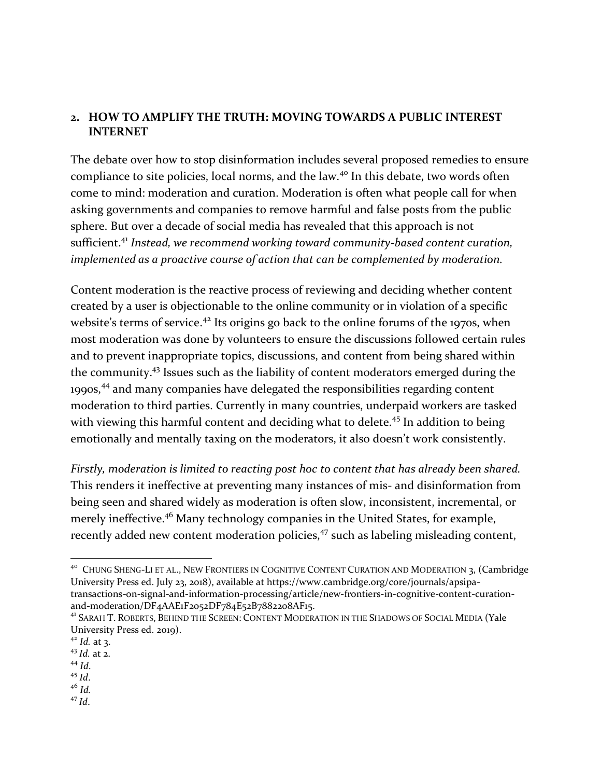## **2. HOW TO AMPLIFY THE TRUTH: MOVING TOWARDS A PUBLIC INTEREST INTERNET**

<span id="page-8-0"></span>The debate over how to stop disinformation includes several proposed remedies to ensure compliance to site policies, local norms, and the law.<sup>40</sup> In this debate, two words often come to mind: moderation and curation. Moderation is often what people call for when asking governments and companies to remove harmful and false posts from the public sphere. But over a decade of social media has revealed that this approach is not sufficient.<sup>41</sup> *Instead, we recommend working toward community-based content curation, implemented as a proactive course of action that can be complemented by moderation.*

Content moderation is the reactive process of reviewing and deciding whether content created by a user is objectionable to the online community or in violation of a specific website's terms of service.<sup>42</sup> Its origins go back to the online forums of the 1970s, when most moderation was done by volunteers to ensure the discussions followed certain rules and to prevent inappropriate topics, discussions, and content from being shared within the community.<sup>43</sup> Issues such as the liability of content moderators emerged during the 1990s,<sup>44</sup> and many companies have delegated the responsibilities regarding content moderation to third parties. Currently in many countries, underpaid workers are tasked with viewing this harmful content and deciding what to delete.<sup>45</sup> In addition to being emotionally and mentally taxing on the moderators, it also doesn't work consistently.

*Firstly, moderation is limited to reacting post hoc to content that has already been shared.*  This renders it ineffective at preventing many instances of mis- and disinformation from being seen and shared widely as moderation is often slow, inconsistent, incremental, or merely ineffective.<sup>46</sup> Many technology companies in the United States, for example, recently added new content moderation policies,<sup>47</sup> such as labeling misleading content,

<sup>46</sup> *Id.* <sup>47</sup> *Id*.

<sup>&</sup>lt;sup>40</sup> CHUNG SHENG-LI ET AL., NEW FRONTIERS IN COGNITIVE CONTENT CURATION AND MODERATION 3, (Cambridge University Press ed. July 23, 2018), available at https://www.cambridge.org/core/journals/apsipatransactions-on-signal-and-information-processing/article/new-frontiers-in-cognitive-content-curationand-moderation/DF4AAE1F2052DF784E52B7882208AF15.

<sup>41</sup> SARAH T. ROBERTS, BEHIND THE SCREEN: CONTENT MODERATION IN THE SHADOWS OF SOCIAL MEDIA (Yale University Press ed. 2019).

<sup>42</sup> *Id.* at 3.

<sup>43</sup> *Id.* at 2.

<sup>44</sup> *Id*.

 $45$  *Id.*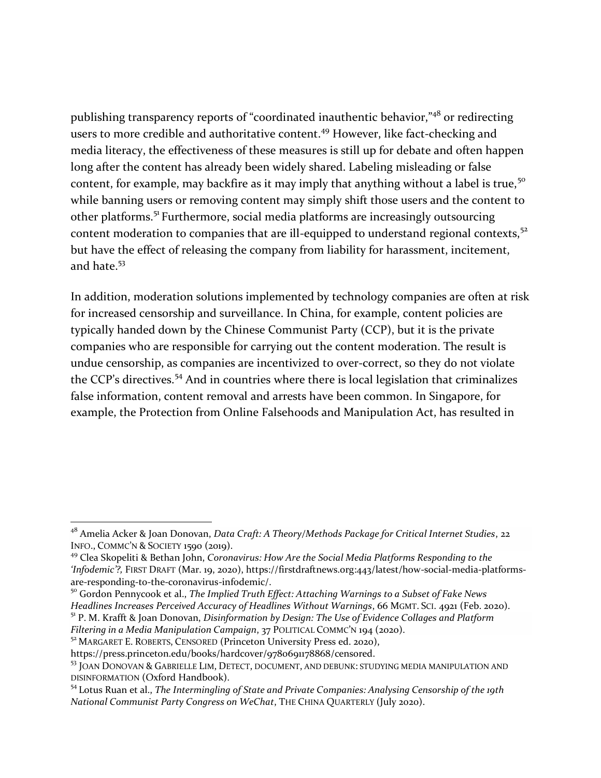publishing transparency reports of "coordinated inauthentic behavior,"<sup>48</sup> or redirecting users to more credible and authoritative content.<sup>49</sup> However, like fact-checking and media literacy, the effectiveness of these measures is still up for debate and often happen long after the content has already been widely shared. Labeling misleading or false content, for example, may backfire as it may imply that anything without a label is true,<sup>50</sup> while banning users or removing content may simply shift those users and the content to other platforms.<sup>51</sup> Furthermore, social media platforms are increasingly outsourcing content moderation to companies that are ill-equipped to understand regional contexts,<sup>52</sup> but have the effect of releasing the company from liability for harassment, incitement, and hate.<sup>53</sup>

In addition, moderation solutions implemented by technology companies are often at risk for increased censorship and surveillance. In China, for example, content policies are typically handed down by the Chinese Communist Party (CCP), but it is the private companies who are responsible for carrying out the content moderation. The result is undue censorship, as companies are incentivized to over-correct, so they do not violate the CCP's directives.<sup>54</sup> And in countries where there is local legislation that criminalizes false information, content removal and arrests have been common. In Singapore, for example, the Protection from Online Falsehoods and Manipulation Act, has resulted in

<sup>50</sup> Gordon Pennycook et al., *The Implied Truth Effect: Attaching Warnings to a Subset of Fake News Headlines Increases Perceived Accuracy of Headlines Without Warnings*, 66 MGMT. SCI. 4921 (Feb. 2020). <sup>51</sup> P. M. Krafft & Joan Donovan, *Disinformation by Design: The Use of Evidence Collages and Platform Filtering in a Media Manipulation Campaign*, 37 POLITICAL COMMC'N 194 (2020).

<sup>52</sup> MARGARET E. ROBERTS, CENSORED (Princeton University Press ed. 2020),

<sup>48</sup> Amelia Acker & Joan Donovan, *Data Craft: A Theory/Methods Package for Critical Internet Studies*, 22 INFO., COMMC'N & SOCIETY 1590 (2019).

<sup>49</sup> Clea Skopeliti & Bethan John, *Coronavirus: How Are the Social Media Platforms Responding to the 'Infodemic'?,* FIRST DRAFT (Mar. 19, 2020), https://firstdraftnews.org:443/latest/how-social-media-platformsare-responding-to-the-coronavirus-infodemic/.

https://press.princeton.edu/books/hardcover/9780691178868/censored.

<sup>53</sup> JOAN DONOVAN & GABRIELLE LIM, DETECT, DOCUMENT, AND DEBUNK: STUDYING MEDIA MANIPULATION AND DISINFORMATION (Oxford Handbook).

<sup>54</sup>Lotus Ruan et al., *The Intermingling of State and Private Companies: Analysing Censorship of the 19th National Communist Party Congress on WeChat*, THE CHINA QUARTERLY (July 2020).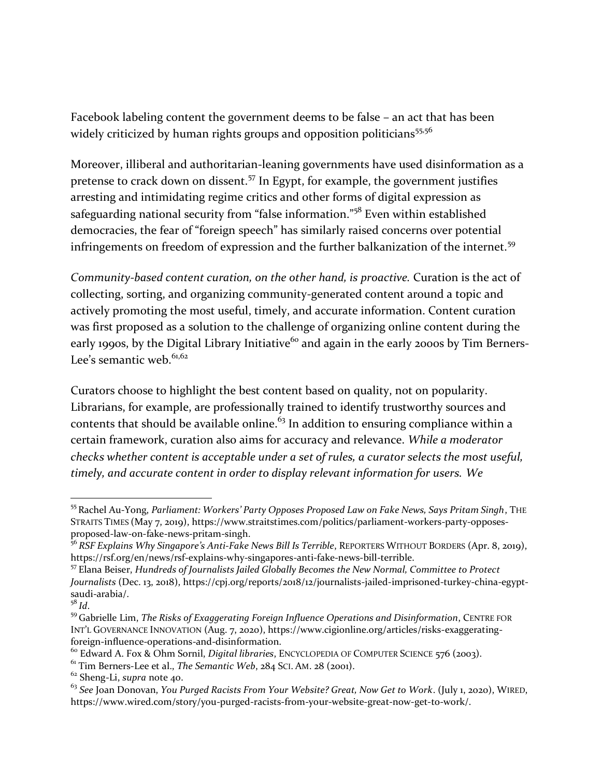Facebook labeling content the government deems to be false – an act that has been widely criticized by human rights groups and opposition politicians<sup>55,56</sup>

Moreover, illiberal and authoritarian-leaning governments have used disinformation as a pretense to crack down on dissent.<sup>57</sup> In Egypt, for example, the government justifies arresting and intimidating regime critics and other forms of digital expression as safeguarding national security from "false information."<sup>58</sup> Even within established democracies, the fear of "foreign speech" has similarly raised concerns over potential infringements on freedom of expression and the further balkanization of the internet.<sup>59</sup>

*Community-based content curation, on the other hand, is proactive.* Curation is the act of collecting, sorting, and organizing community-generated content around a topic and actively promoting the most useful, timely, and accurate information. Content curation was first proposed as a solution to the challenge of organizing online content during the early 1990s, by the Digital Library Initiative<sup>60</sup> and again in the early 2000s by Tim Berners-Lee's semantic web. $61,62$ 

<span id="page-10-0"></span>Curators choose to highlight the best content based on quality, not on popularity. Librarians, for example, are professionally trained to identify trustworthy sources and contents that should be available online.<sup>63</sup> In addition to ensuring compliance within a certain framework, curation also aims for accuracy and relevance. *While a moderator checks whether content is acceptable under a set of rules, a curator selects the most useful, timely, and accurate content in order to display relevant information for users. We* 

<sup>55</sup> Rachel Au-Yong, *Parliament: Workers' Party Opposes Proposed Law on Fake News, Says Pritam Singh*, THE STRAITS TIMES (May 7, 2019), https://www.straitstimes.com/politics/parliament-workers-party-opposesproposed-law-on-fake-news-pritam-singh.

<sup>56</sup> *RSF Explains Why Singapore's Anti-Fake News Bill Is Terrible*, REPORTERS WITHOUT BORDERS (Apr. 8, 2019), https://rsf.org/en/news/rsf-explains-why-singapores-anti-fake-news-bill-terrible.

<sup>57</sup> Elana Beiser, *Hundreds of Journalists Jailed Globally Becomes the New Normal, Committee to Protect Journalists* (Dec. 13, 2018), https://cpj.org/reports/2018/12/journalists-jailed-imprisoned-turkey-china-egyptsaudi-arabia/.

<sup>58</sup> *Id*.

<sup>59</sup> Gabrielle Lim, *The Risks of Exaggerating Foreign Influence Operations and Disinformation*, CENTRE FOR INT'L GOVERNANCE INNOVATION (Aug. 7, 2020), https://www.cigionline.org/articles/risks-exaggeratingforeign-influence-operations-and-disinformation.

<sup>60</sup> Edward A. Fox & Ohm Sornil, *Digital libraries*, ENCYCLOPEDIA OF COMPUTER SCIENCE 576 (2003).

<sup>&</sup>lt;sup>61</sup> Tim Berners-Lee et al., *The Semantic Web*, 284 SCI, AM, 28 (2001).

<sup>62</sup> Sheng-Li, *supra* not[e 40.](#page-8-0)

<sup>63</sup> *See* Joan Donovan, *You Purged Racists From Your Website? Great, Now Get to Work*. (July 1, 2020), WIRED, https://www.wired.com/story/you-purged-racists-from-your-website-great-now-get-to-work/.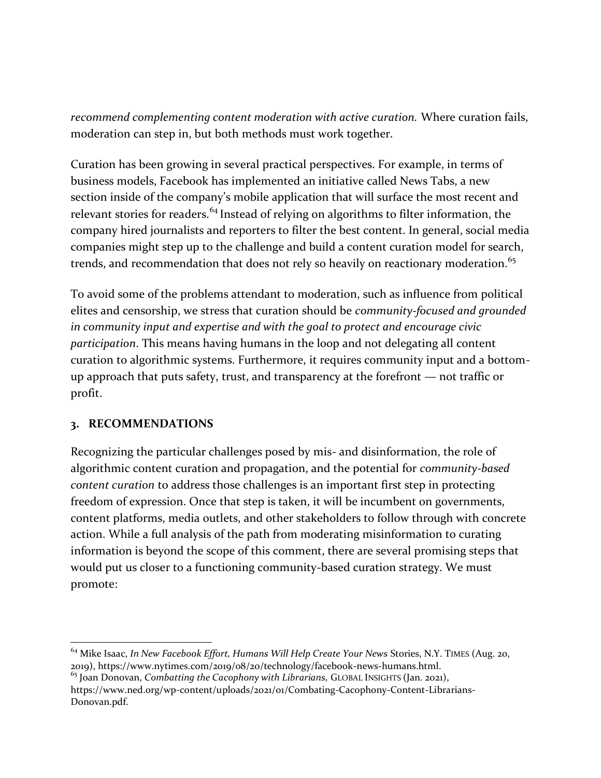*recommend complementing content moderation with active curation.* Where curation fails, moderation can step in, but both methods must work together.

Curation has been growing in several practical perspectives. For example, in terms of business models, Facebook has implemented an initiative called News Tabs, a new section inside of the company's mobile application that will surface the most recent and relevant stories for readers.<sup>64</sup> Instead of relying on algorithms to filter information, the company hired journalists and reporters to filter the best content. In general, social media companies might step up to the challenge and build a content curation model for search, trends, and recommendation that does not rely so heavily on reactionary moderation.<sup>65</sup>

<span id="page-11-0"></span>To avoid some of the problems attendant to moderation, such as influence from political elites and censorship, we stress that curation should be *community-focused and grounded in community input and expertise and with the goal to protect and encourage civic participation*. This means having humans in the loop and not delegating all content curation to algorithmic systems. Furthermore, it requires community input and a bottomup approach that puts safety, trust, and transparency at the forefront — not traffic or profit.

#### **3. RECOMMENDATIONS**

Recognizing the particular challenges posed by mis- and disinformation, the role of algorithmic content curation and propagation, and the potential for *community-based content curation* to address those challenges is an important first step in protecting freedom of expression. Once that step is taken, it will be incumbent on governments, content platforms, media outlets, and other stakeholders to follow through with concrete action. While a full analysis of the path from moderating misinformation to curating information is beyond the scope of this comment, there are several promising steps that would put us closer to a functioning community-based curation strategy. We must promote:

<sup>64</sup> Mike Isaac, *In New Facebook Effort, Humans Will Help Create Your News* Stories, N.Y. TIMES (Aug. 20, 2019), https://www.nytimes.com/2019/08/20/technology/facebook-news-humans.html. <sup>65</sup> Joan Donovan, *Combatting the Cacophony with Librarians,* GLOBAL INSIGHTS (Jan. 2021),

https://www.ned.org/wp-content/uploads/2021/01/Combating-Cacophony-Content-Librarians-Donovan.pdf.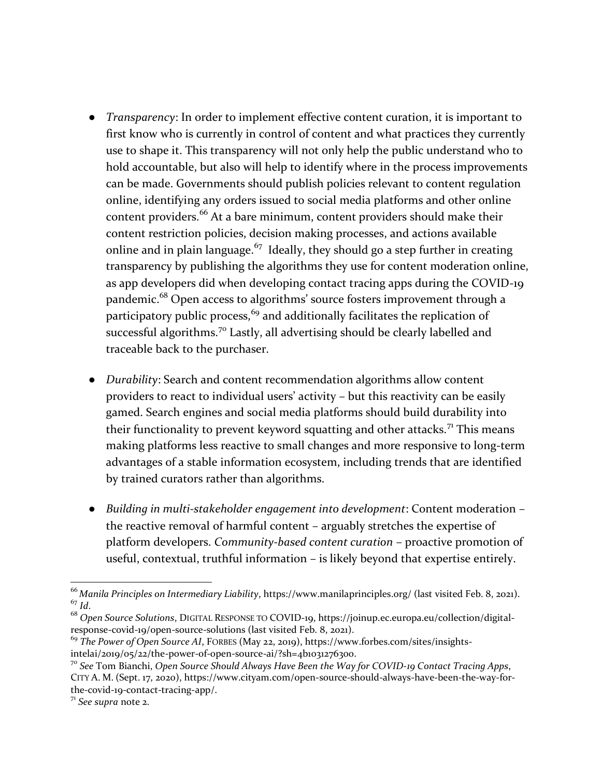- *Transparency*: In order to implement effective content curation, it is important to first know who is currently in control of content and what practices they currently use to shape it. This transparency will not only help the public understand who to hold accountable, but also will help to identify where in the process improvements can be made. Governments should publish policies relevant to content regulation online, identifying any orders issued to social media platforms and other online content providers.<sup>66</sup> At a bare minimum, content providers should make their content restriction policies, decision making processes, and actions available online and in plain language.<sup>67</sup> Ideally, they should go a step further in creating transparency by publishing the algorithms they use for content moderation online, as app developers did when developing contact tracing apps during the COVID-19 pandemic.<sup>68</sup> Open access to algorithms' source fosters improvement through a participatory public process,<sup>69</sup> and additionally facilitates the replication of successful algorithms.<sup>70</sup> Lastly, all advertising should be clearly labelled and traceable back to the purchaser.
- *Durability:* Search and content recommendation algorithms allow content providers to react to individual users' activity – but this reactivity can be easily gamed. Search engines and social media platforms should build durability into their functionality to prevent keyword squatting and other attacks.<sup>71</sup> This means making platforms less reactive to small changes and more responsive to long-term advantages of a stable information ecosystem, including trends that are identified by trained curators rather than algorithms.
- *Building in multi-stakeholder engagement into development*: Content moderation the reactive removal of harmful content – arguably stretches the expertise of platform developers. *Community-based content curation* – proactive promotion of useful, contextual, truthful information – is likely beyond that expertise entirely.

<sup>66</sup> *Manila Principles on Intermediary Liability*, https://www.manilaprinciples.org/ (last visited Feb. 8, 2021). <sup>67</sup> *Id*.

<sup>68</sup> *Open Source Solutions*, DIGITAL RESPONSE TO COVID-19, https://joinup.ec.europa.eu/collection/digitalresponse-covid-19/open-source-solutions (last visited Feb. 8, 2021).

<sup>&</sup>lt;sup>69</sup> The Power of Open Source AI, FORBES (May 22, 2019), https://www.forbes.com/sites/insightsintelai/2019/05/22/the-power-of-open-source-ai/?sh=4b1031276300.

<sup>70</sup> *See* Tom Bianchi, *Open Source Should Always Have Been the Way for COVID-19 Contact Tracing Apps*, CITY A. M. (Sept. 17, 2020), https://www.cityam.com/open-source-should-always-have-been-the-way-forthe-covid-19-contact-tracing-app/.

<sup>71</sup> *See supra* note [2.](#page-2-1)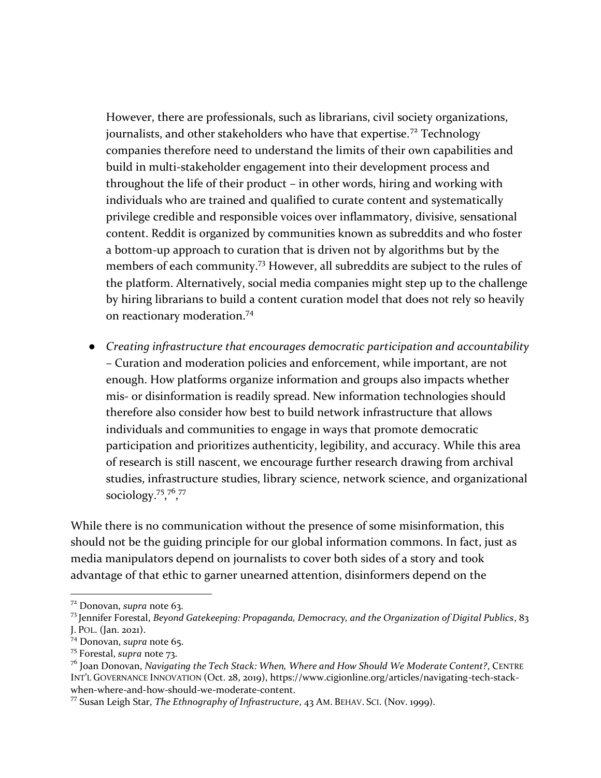However, there are professionals, such as librarians, civil society organizations, journalists, and other stakeholders who have that expertise.<sup>72</sup> Technology companies therefore need to understand the limits of their own capabilities and build in multi-stakeholder engagement into their development process and throughout the life of their product – in other words, hiring and working with individuals who are trained and qualified to curate content and systematically privilege credible and responsible voices over inflammatory, divisive, sensational content. Reddit is organized by communities known as subreddits and who foster a bottom-up approach to curation that is driven not by algorithms but by the members of each community.<sup>73</sup> However, all subreddits are subject to the rules of the platform. Alternatively, social media companies might step up to the challenge by hiring librarians to build a content curation model that does not rely so heavily on reactionary moderation.<sup>74</sup>

<span id="page-13-0"></span>● *Creating infrastructure that encourages democratic participation and accountability* – Curation and moderation policies and enforcement, while important, are not enough. How platforms organize information and groups also impacts whether mis- or disinformation is readily spread. New information technologies should therefore also consider how best to build network infrastructure that allows individuals and communities to engage in ways that promote democratic participation and prioritizes authenticity, legibility, and accuracy. While this area of research is still nascent, we encourage further research drawing from archival studies, infrastructure studies, library science, network science, and organizational sociology.<sup>75</sup>,<sup>76</sup>,<sup>77</sup>

While there is no communication without the presence of some misinformation, this should not be the guiding principle for our global information commons. In fact, just as media manipulators depend on journalists to cover both sides of a story and took advantage of that ethic to garner unearned attention, disinformers depend on the

<sup>72</sup> Donovan, *supra* note [63.](#page-10-0)

<sup>73</sup> Jennifer Forestal, *Beyond Gatekeeping: Propaganda, Democracy, and the Organization of Digital Publics*, 83 J. POL. (Jan. 2021).

<sup>74</sup> Donovan, *supra* note [65.](#page-11-0)

<sup>75</sup> Forestal, *supra* note [73.](#page-13-0)

<sup>76</sup> Joan Donovan, *Navigating the Tech Stack: When, Where and How Should We Moderate Content?*, CENTRE INT'L GOVERNANCE INNOVATION (Oct. 28, 2019), https://www.cigionline.org/articles/navigating-tech-stackwhen-where-and-how-should-we-moderate-content.

<sup>77</sup> Susan Leigh Star, *The Ethnography of Infrastructure*, 43 AM. BEHAV. SCI. (Nov. 1999).